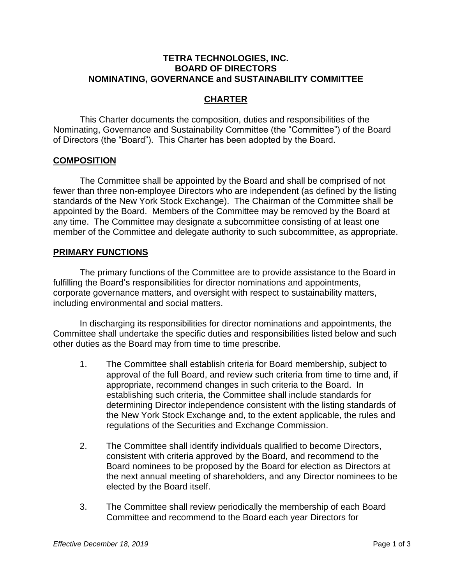### **TETRA TECHNOLOGIES, INC. BOARD OF DIRECTORS NOMINATING, GOVERNANCE and SUSTAINABILITY COMMITTEE**

# **CHARTER**

This Charter documents the composition, duties and responsibilities of the Nominating, Governance and Sustainability Committee (the "Committee") of the Board of Directors (the "Board"). This Charter has been adopted by the Board.

### **COMPOSITION**

The Committee shall be appointed by the Board and shall be comprised of not fewer than three non-employee Directors who are independent (as defined by the listing standards of the New York Stock Exchange). The Chairman of the Committee shall be appointed by the Board. Members of the Committee may be removed by the Board at any time. The Committee may designate a subcommittee consisting of at least one member of the Committee and delegate authority to such subcommittee, as appropriate.

### **PRIMARY FUNCTIONS**

The primary functions of the Committee are to provide assistance to the Board in fulfilling the Board's responsibilities for director nominations and appointments, corporate governance matters, and oversight with respect to sustainability matters, including environmental and social matters.

In discharging its responsibilities for director nominations and appointments, the Committee shall undertake the specific duties and responsibilities listed below and such other duties as the Board may from time to time prescribe.

- 1. The Committee shall establish criteria for Board membership, subject to approval of the full Board, and review such criteria from time to time and, if appropriate, recommend changes in such criteria to the Board. In establishing such criteria, the Committee shall include standards for determining Director independence consistent with the listing standards of the New York Stock Exchange and, to the extent applicable, the rules and regulations of the Securities and Exchange Commission.
- 2. The Committee shall identify individuals qualified to become Directors, consistent with criteria approved by the Board, and recommend to the Board nominees to be proposed by the Board for election as Directors at the next annual meeting of shareholders, and any Director nominees to be elected by the Board itself.
- 3. The Committee shall review periodically the membership of each Board Committee and recommend to the Board each year Directors for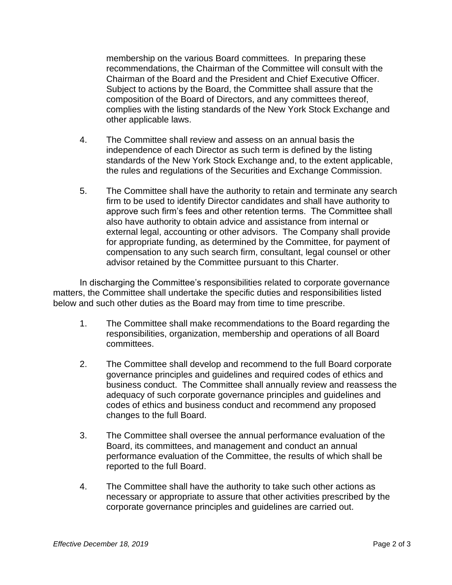membership on the various Board committees. In preparing these recommendations, the Chairman of the Committee will consult with the Chairman of the Board and the President and Chief Executive Officer. Subject to actions by the Board, the Committee shall assure that the composition of the Board of Directors, and any committees thereof, complies with the listing standards of the New York Stock Exchange and other applicable laws.

- 4. The Committee shall review and assess on an annual basis the independence of each Director as such term is defined by the listing standards of the New York Stock Exchange and, to the extent applicable, the rules and regulations of the Securities and Exchange Commission.
- 5. The Committee shall have the authority to retain and terminate any search firm to be used to identify Director candidates and shall have authority to approve such firm's fees and other retention terms. The Committee shall also have authority to obtain advice and assistance from internal or external legal, accounting or other advisors. The Company shall provide for appropriate funding, as determined by the Committee, for payment of compensation to any such search firm, consultant, legal counsel or other advisor retained by the Committee pursuant to this Charter.

In discharging the Committee's responsibilities related to corporate governance matters, the Committee shall undertake the specific duties and responsibilities listed below and such other duties as the Board may from time to time prescribe.

- 1. The Committee shall make recommendations to the Board regarding the responsibilities, organization, membership and operations of all Board committees.
- 2. The Committee shall develop and recommend to the full Board corporate governance principles and guidelines and required codes of ethics and business conduct. The Committee shall annually review and reassess the adequacy of such corporate governance principles and guidelines and codes of ethics and business conduct and recommend any proposed changes to the full Board.
- 3. The Committee shall oversee the annual performance evaluation of the Board, its committees, and management and conduct an annual performance evaluation of the Committee, the results of which shall be reported to the full Board.
- 4. The Committee shall have the authority to take such other actions as necessary or appropriate to assure that other activities prescribed by the corporate governance principles and guidelines are carried out.